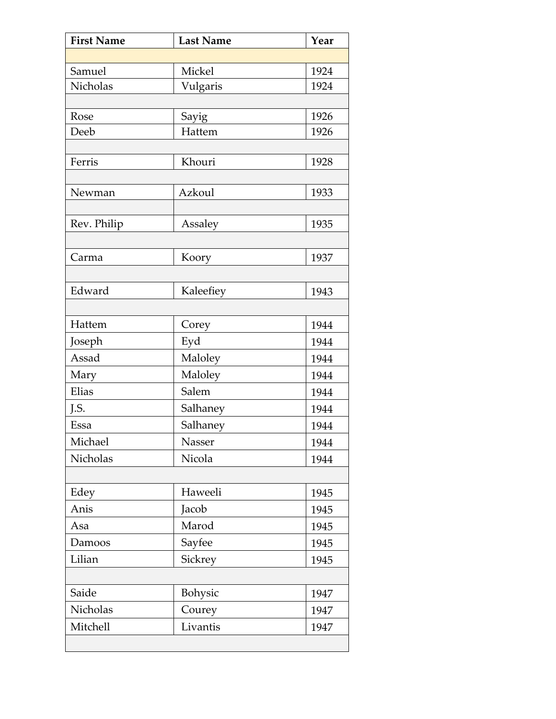| <b>First Name</b> | <b>Last Name</b> | Year |
|-------------------|------------------|------|
|                   |                  |      |
| Samuel            | Mickel           | 1924 |
| Nicholas          | Vulgaris         | 1924 |
|                   |                  |      |
| Rose              | Sayig            | 1926 |
| Deeb              | Hattem           | 1926 |
|                   |                  |      |
| Ferris            | Khouri           | 1928 |
| Newman            | Azkoul           | 1933 |
|                   |                  |      |
| Rev. Philip       | Assaley          | 1935 |
|                   |                  |      |
| Carma             | Koory            | 1937 |
|                   |                  |      |
| Edward            | Kaleefiey        | 1943 |
|                   |                  |      |
| Hattem            | Corey            | 1944 |
| Joseph            | Eyd              | 1944 |
| Assad             | Maloley          | 1944 |
| Mary              | Maloley          | 1944 |
| Elias             | Salem            | 1944 |
| J.S.              | Salhaney         | 1944 |
| Essa              | Salhaney         | 1944 |
| Michael           | Nasser           | 1944 |
| Nicholas          | Nicola           | 1944 |
|                   |                  |      |
| Edey              | Haweeli          | 1945 |
| Anis              | Jacob            | 1945 |
| Asa               | Marod            | 1945 |
| Damoos            | Sayfee           | 1945 |
| Lilian            | Sickrey          | 1945 |
|                   |                  |      |
| Saide             | Bohysic          | 1947 |
| Nicholas          | Courey           | 1947 |
| Mitchell          | Livantis         | 1947 |
|                   |                  |      |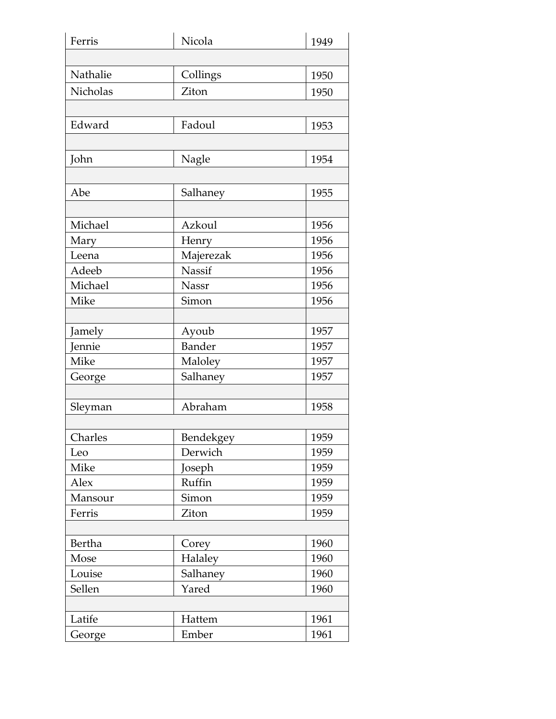| Ferris   | Nicola        | 1949 |
|----------|---------------|------|
|          |               |      |
| Nathalie | Collings      | 1950 |
| Nicholas | Ziton         | 1950 |
|          |               |      |
| Edward   | Fadoul        | 1953 |
|          |               |      |
| John     | Nagle         | 1954 |
|          |               |      |
| Abe      | Salhaney      | 1955 |
|          |               |      |
| Michael  | Azkoul        | 1956 |
| Mary     | Henry         | 1956 |
| Leena    | Majerezak     | 1956 |
| Adeeb    | Nassif        | 1956 |
| Michael  | Nassr         | 1956 |
| Mike     | Simon         | 1956 |
|          |               |      |
| Jamely   | Ayoub         | 1957 |
| Jennie   | <b>Bander</b> | 1957 |
| Mike     | Maloley       | 1957 |
| George   | Salhaney      | 1957 |
|          |               |      |
| Sleyman  | Abraham       | 1958 |
|          |               |      |
| Charles  | Bendekgey     | 1959 |
| Leo      | Derwich       | 1959 |
| Mike     | Joseph        | 1959 |
| Alex     | Ruffin        | 1959 |
| Mansour  | Simon         | 1959 |
| Ferris   | Ziton         | 1959 |
|          |               |      |
| Bertha   | Corey         | 1960 |
| Mose     | Halaley       | 1960 |
| Louise   | Salhaney      | 1960 |
| Sellen   | Yared         | 1960 |
|          |               |      |
| Latife   | Hattem        | 1961 |
| George   | Ember         | 1961 |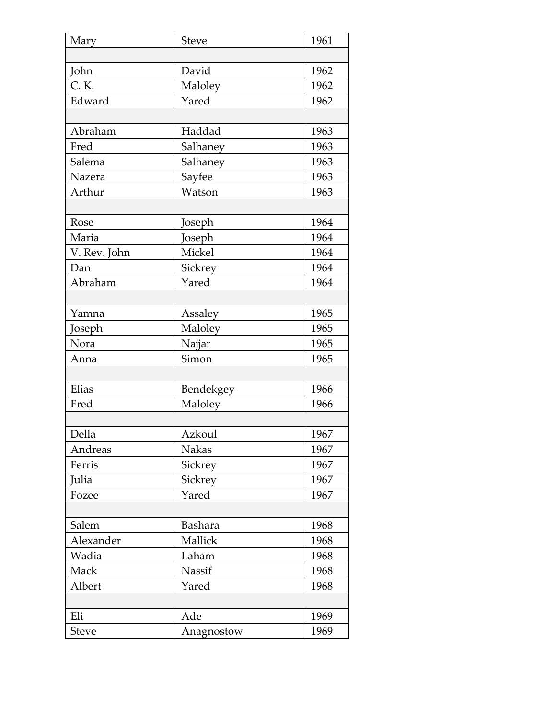| Mary         | <b>Steve</b>   | 1961 |
|--------------|----------------|------|
|              |                |      |
| John         | David          | 1962 |
| C. K.        | Maloley        | 1962 |
| Edward       | Yared          | 1962 |
|              |                |      |
| Abraham      | Haddad         | 1963 |
| Fred         | Salhaney       | 1963 |
| Salema       | Salhaney       | 1963 |
| Nazera       | Sayfee         | 1963 |
| Arthur       | Watson         | 1963 |
|              |                |      |
| Rose         | Joseph         | 1964 |
| Maria        | Joseph         | 1964 |
| V. Rev. John | Mickel         | 1964 |
| Dan          | Sickrey        | 1964 |
| Abraham      | Yared          | 1964 |
|              |                |      |
| Yamna        | Assaley        | 1965 |
| Joseph       | Maloley        | 1965 |
| Nora         | Najjar         | 1965 |
| Anna         | Simon          | 1965 |
|              |                |      |
| Elias        | Bendekgey      | 1966 |
| Fred         | Maloley        | 1966 |
|              |                |      |
| Della        | Azkoul         | 1967 |
| Andreas      | <b>Nakas</b>   | 1967 |
| Ferris       | Sickrey        | 1967 |
| Julia        | Sickrey        | 1967 |
| Fozee        | Yared          | 1967 |
|              |                |      |
| Salem        | <b>Bashara</b> | 1968 |
| Alexander    | Mallick        | 1968 |
| Wadia        | Laham          | 1968 |
| Mack         | Nassif         | 1968 |
| Albert       | Yared          | 1968 |
|              |                |      |
| Eli          | Ade            | 1969 |
| <b>Steve</b> | Anagnostow     | 1969 |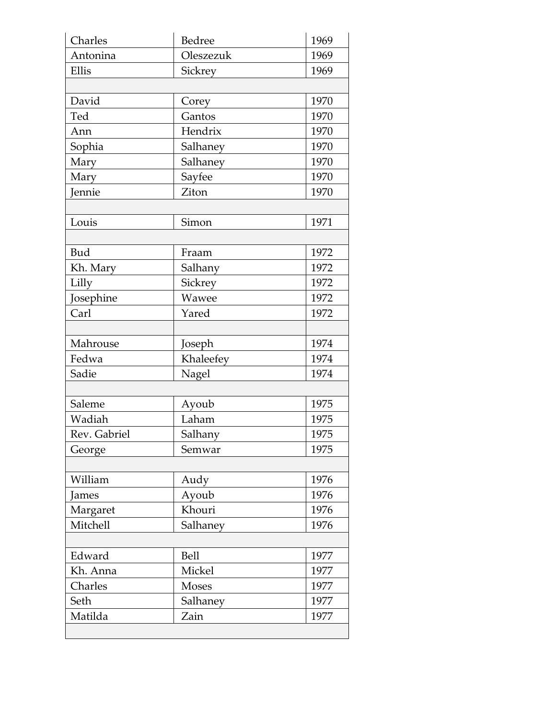| Charles      | Bedree       | 1969 |
|--------------|--------------|------|
| Antonina     | Oleszezuk    | 1969 |
| Ellis        | Sickrey      | 1969 |
|              |              |      |
| David        | Corey        | 1970 |
| Ted          | Gantos       | 1970 |
| Ann          | Hendrix      | 1970 |
| Sophia       | Salhaney     | 1970 |
| Mary         | Salhaney     | 1970 |
| Mary         | Sayfee       | 1970 |
| Jennie       | Ziton        | 1970 |
|              |              |      |
| Louis        | Simon        | 1971 |
|              |              |      |
| Bud          | Fraam        | 1972 |
| Kh. Mary     | Salhany      | 1972 |
| Lilly        | Sickrey      | 1972 |
| Josephine    | Wawee        | 1972 |
| Carl         | Yared        | 1972 |
|              |              |      |
| Mahrouse     | Joseph       | 1974 |
| Fedwa        | Khaleefey    | 1974 |
|              |              |      |
| Sadie        | Nagel        | 1974 |
|              |              |      |
| Saleme       | Ayoub        | 1975 |
| Wadiah       | Laham        | 1975 |
| Rev. Gabriel | Salhany      | 1975 |
| George       | Semwar       | 1975 |
|              |              |      |
| William      | Audy         | 1976 |
| James        | Ayoub        | 1976 |
| Margaret     | Khouri       | 1976 |
| Mitchell     | Salhaney     | 1976 |
|              |              |      |
| Edward       | <b>Bell</b>  | 1977 |
| Kh. Anna     | Mickel       | 1977 |
| Charles      | <b>Moses</b> | 1977 |
| Seth         | Salhaney     | 1977 |
| Matilda      | Zain         | 1977 |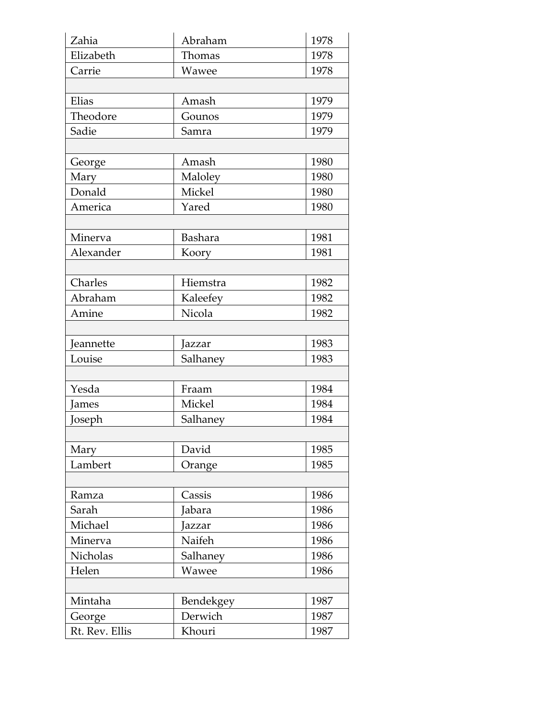| Zahia          | Abraham        | 1978 |
|----------------|----------------|------|
| Elizabeth      | Thomas         | 1978 |
| Carrie         | Wawee          | 1978 |
|                |                |      |
| Elias          | Amash          | 1979 |
| Theodore       | Gounos         | 1979 |
| Sadie          | Samra          | 1979 |
|                |                |      |
| George         | Amash          | 1980 |
| Mary           | Maloley        | 1980 |
| Donald         | Mickel         | 1980 |
| America        | Yared          | 1980 |
|                |                |      |
| Minerva        | <b>Bashara</b> | 1981 |
| Alexander      | Koory          | 1981 |
|                |                |      |
| Charles        | Hiemstra       | 1982 |
| Abraham        | Kaleefey       | 1982 |
| Amine          | Nicola         | 1982 |
|                |                |      |
| Jeannette      | Jazzar         | 1983 |
| Louise         | Salhaney       | 1983 |
|                |                |      |
| Yesda          | Fraam          | 1984 |
| James          | Mickel         | 1984 |
| Joseph         | Salhaney       | 1984 |
|                |                |      |
| Mary           | David          | 1985 |
| Lambert        | Orange         | 1985 |
|                |                |      |
| Ramza          | Cassis         | 1986 |
| Sarah          | Jabara         | 1986 |
| Michael        | Jazzar         | 1986 |
| Minerva        | Naifeh         | 1986 |
| Nicholas       | Salhaney       | 1986 |
| Helen          | Wawee          | 1986 |
|                |                |      |
| Mintaha        | Bendekgey      | 1987 |
| George         | Derwich        | 1987 |
| Rt. Rev. Ellis | Khouri         | 1987 |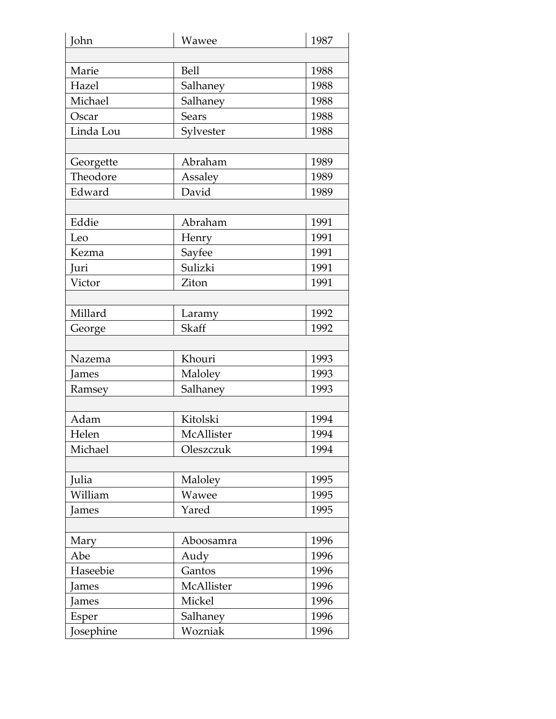| John      | Wawee        | 1987 |
|-----------|--------------|------|
|           |              |      |
| Marie     | <b>Bell</b>  | 1988 |
| Hazel     | Salhaney     | 1988 |
| Michael   | Salhaney     | 1988 |
| Oscar     | <b>Sears</b> | 1988 |
| Linda Lou | Sylvester    | 1988 |
|           |              |      |
| Georgette | Abraham      | 1989 |
| Theodore  | Assaley      | 1989 |
| Edward    | David        | 1989 |
|           |              |      |
| Eddie     | Abraham      | 1991 |
| Leo       | Henry        | 1991 |
| Kezma     | Sayfee       | 1991 |
| Juri      | Sulizki      | 1991 |
| Victor    | Ziton        | 1991 |
|           |              |      |
| Millard   | Laramy       | 1992 |
| George    | Skaff        | 1992 |
|           |              |      |
| Nazema    | Khouri       | 1993 |
| James     | Maloley      | 1993 |
| Ramsey    | Salhaney     | 1993 |
|           |              |      |
| Adam      | Kitolski     | 1994 |
| Helen     | McAllister   | 1994 |
| Michael   | Oleszczuk    | 1994 |
|           |              |      |
| Julia     | Maloley      | 1995 |
| William   | Wawee        | 1995 |
| James     | Yared        | 1995 |
|           |              |      |
| Mary      | Aboosamra    | 1996 |
| Abe       | Audy         | 1996 |
| Haseebie  | Gantos       | 1996 |
| James     | McAllister   | 1996 |
| James     | Mickel       | 1996 |
| Esper     | Salhaney     | 1996 |
| Josephine | Wozniak      | 1996 |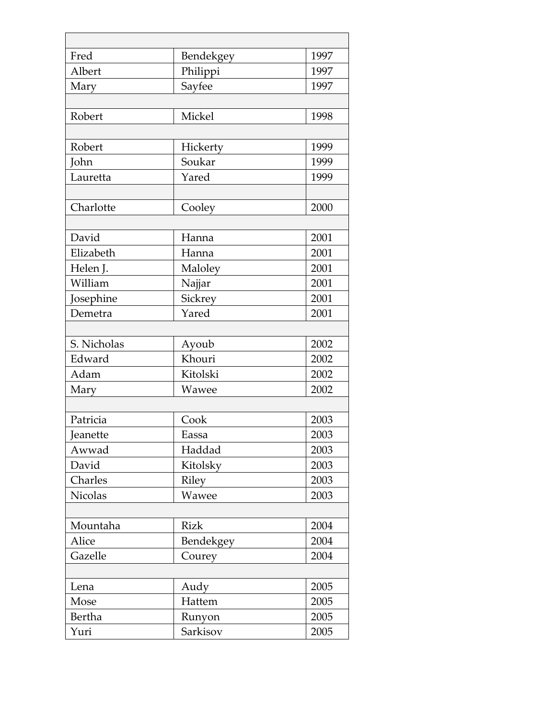| Fred            | Bendekgey   | 1997 |
|-----------------|-------------|------|
| Albert          | Philippi    | 1997 |
| Mary            | Sayfee      | 1997 |
|                 |             |      |
| Robert          | Mickel      | 1998 |
|                 |             |      |
| Robert          | Hickerty    | 1999 |
| John            | Soukar      | 1999 |
| Lauretta        | Yared       | 1999 |
|                 |             |      |
| Charlotte       | Cooley      | 2000 |
|                 |             |      |
| David           | Hanna       | 2001 |
| Elizabeth       | Hanna       | 2001 |
| Helen J.        | Maloley     | 2001 |
| William         | Najjar      | 2001 |
| Josephine       | Sickrey     | 2001 |
| Demetra         | Yared       | 2001 |
|                 |             |      |
| S. Nicholas     | Ayoub       | 2002 |
| Edward          | Khouri      | 2002 |
| Adam            | Kitolski    | 2002 |
| Mary            | Wawee       | 2002 |
|                 |             |      |
| Patricia        | Cook        | 2003 |
| <b>Teanette</b> | Eassa       | 2003 |
| Awwad           | Haddad      | 2003 |
| David           | Kitolsky    | 2003 |
| Charles         | Riley       | 2003 |
| <b>Nicolas</b>  | Wawee       | 2003 |
|                 |             |      |
| Mountaha        | <b>Rizk</b> | 2004 |
| Alice           | Bendekgey   | 2004 |
| Gazelle         | Courey      | 2004 |
|                 |             |      |
| Lena            | Audy        | 2005 |
| Mose            | Hattem      | 2005 |
| <b>Bertha</b>   | Runyon      | 2005 |
| Yuri            | Sarkisov    | 2005 |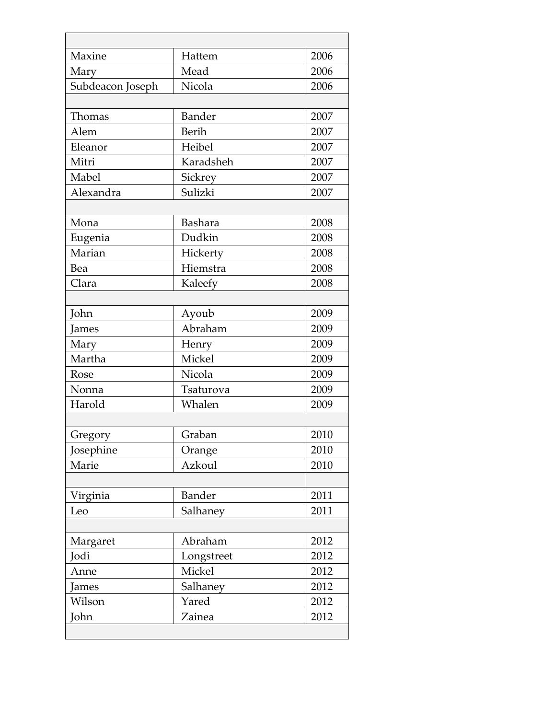| Maxine           | Hattem         | 2006 |
|------------------|----------------|------|
| Mary             | Mead           | 2006 |
| Subdeacon Joseph | Nicola         | 2006 |
|                  |                |      |
| Thomas           | <b>Bander</b>  | 2007 |
| Alem             | <b>Berih</b>   | 2007 |
| Eleanor          | Heibel         | 2007 |
| Mitri            | Karadsheh      | 2007 |
| Mabel            | Sickrey        | 2007 |
| Alexandra        | Sulizki        | 2007 |
|                  |                |      |
| Mona             | <b>Bashara</b> | 2008 |
| Eugenia          | Dudkin         | 2008 |
| Marian           | Hickerty       | 2008 |
| Bea              | Hiemstra       | 2008 |
| Clara            | Kaleefy        | 2008 |
|                  |                |      |
| John             | Ayoub          | 2009 |
| James            | Abraham        | 2009 |
| Mary             | Henry          | 2009 |
| Martha           | Mickel         | 2009 |
| Rose             | Nicola         | 2009 |
| Nonna            | Tsaturova      | 2009 |
| Harold           | Whalen         | 2009 |
|                  |                |      |
| Gregory          | Graban         | 2010 |
| Josephine        | Orange         | 2010 |
| Marie            | Azkoul         | 2010 |
|                  |                |      |
| Virginia         | <b>Bander</b>  | 2011 |
| Leo              | Salhaney       | 2011 |
|                  |                |      |
| Margaret         | Abraham        | 2012 |
| Jodi             | Longstreet     | 2012 |
| Anne             | Mickel         | 2012 |
| James            | Salhaney       | 2012 |
| Wilson           | Yared          | 2012 |
| John             | Zainea         | 2012 |
|                  |                |      |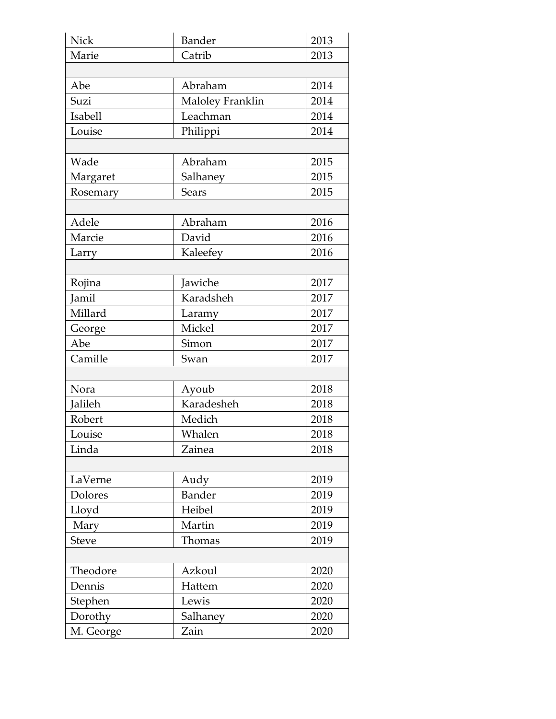| <b>Nick</b>  | <b>Bander</b>    | 2013 |
|--------------|------------------|------|
| Marie        | Catrib           | 2013 |
|              |                  |      |
| Abe          | Abraham          | 2014 |
| Suzi         | Maloley Franklin | 2014 |
| Isabell      | Leachman         | 2014 |
| Louise       | Philippi         | 2014 |
|              |                  |      |
| Wade         | Abraham          | 2015 |
| Margaret     | Salhaney         | 2015 |
| Rosemary     | <b>Sears</b>     | 2015 |
|              |                  |      |
| Adele        | Abraham          | 2016 |
| Marcie       | David            | 2016 |
| Larry        | Kaleefey         | 2016 |
|              |                  |      |
| Rojina       | Jawiche          | 2017 |
| Jamil        | Karadsheh        | 2017 |
| Millard      | Laramy           | 2017 |
| George       | Mickel           | 2017 |
| Abe          | Simon            | 2017 |
| Camille      | Swan             | 2017 |
|              |                  |      |
| Nora         | Ayoub            | 2018 |
| Jalileh      | Karadesheh       | 2018 |
| Robert       | Medich           | 2018 |
| Louise       | Whalen           | 2018 |
| Linda        | Zainea           | 2018 |
|              |                  |      |
| LaVerne      | Audy             | 2019 |
| Dolores      | <b>Bander</b>    | 2019 |
| Lloyd        | Heibel           | 2019 |
| Mary         | Martin           | 2019 |
| <b>Steve</b> | Thomas           | 2019 |
|              |                  |      |
| Theodore     | Azkoul           | 2020 |
| Dennis       | Hattem           | 2020 |
| Stephen      | Lewis            | 2020 |
| Dorothy      | Salhaney         | 2020 |
| M. George    | Zain             | 2020 |